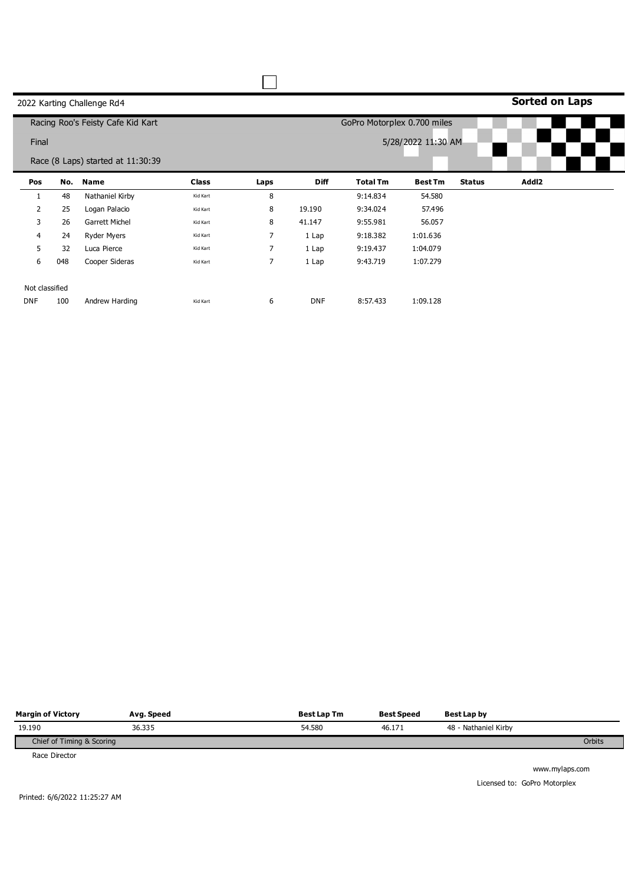|                |     | 2022 Karting Challenge Rd4        |              |                |             |                             |                    |               | <b>Sorted on Laps</b> |  |
|----------------|-----|-----------------------------------|--------------|----------------|-------------|-----------------------------|--------------------|---------------|-----------------------|--|
|                |     | Racing Roo's Feisty Cafe Kid Kart |              |                |             | GoPro Motorplex 0.700 miles |                    |               |                       |  |
| Final          |     |                                   |              |                |             |                             | 5/28/2022 11:30 AM |               |                       |  |
|                |     | Race (8 Laps) started at 11:30:39 |              |                |             |                             |                    |               |                       |  |
| Pos            | No. | Name                              | <b>Class</b> | Laps           | <b>Diff</b> | <b>Total Tm</b>             | <b>Best Tm</b>     | <b>Status</b> | Addl2                 |  |
|                | 48  | Nathaniel Kirby                   | Kid Kart     | 8              |             | 9:14.834                    | 54.580             |               |                       |  |
| $\overline{2}$ | 25  | Logan Palacio                     | Kid Kart     | 8              | 19.190      | 9:34.024                    | 57.496             |               |                       |  |
| 3              | 26  | <b>Garrett Michel</b>             | Kid Kart     | 8              | 41.147      | 9:55.981                    | 56.057             |               |                       |  |
| 4              | 24  | Ryder Myers                       | Kid Kart     | $\overline{7}$ | 1 Lap       | 9:18.382                    | 1:01.636           |               |                       |  |
| 5              | 32  | Luca Pierce                       | Kid Kart     | 7              | 1 Lap       | 9:19.437                    | 1:04.079           |               |                       |  |
| 6              | 048 | Cooper Sideras                    | Kid Kart     | $\overline{7}$ | 1 Lap       | 9:43.719                    | 1:07.279           |               |                       |  |
| Not classified |     |                                   |              |                |             |                             |                    |               |                       |  |
| <b>DNF</b>     | 100 | Andrew Harding                    | Kid Kart     | 6              | <b>DNF</b>  | 8:57.433                    | 1:09.128           |               |                       |  |

| <b>Margin of Victory</b>  | Avg. Speed | <b>Best Lap Tm</b> | <b>Best Speed</b> | Best Lap by          |        |
|---------------------------|------------|--------------------|-------------------|----------------------|--------|
| 19.190                    | 36.335     | 54.580             | 46.171            | 48 - Nathaniel Kirby |        |
| Chief of Timing & Scoring |            |                    |                   |                      | Orbits |
| Race Director             |            |                    |                   |                      |        |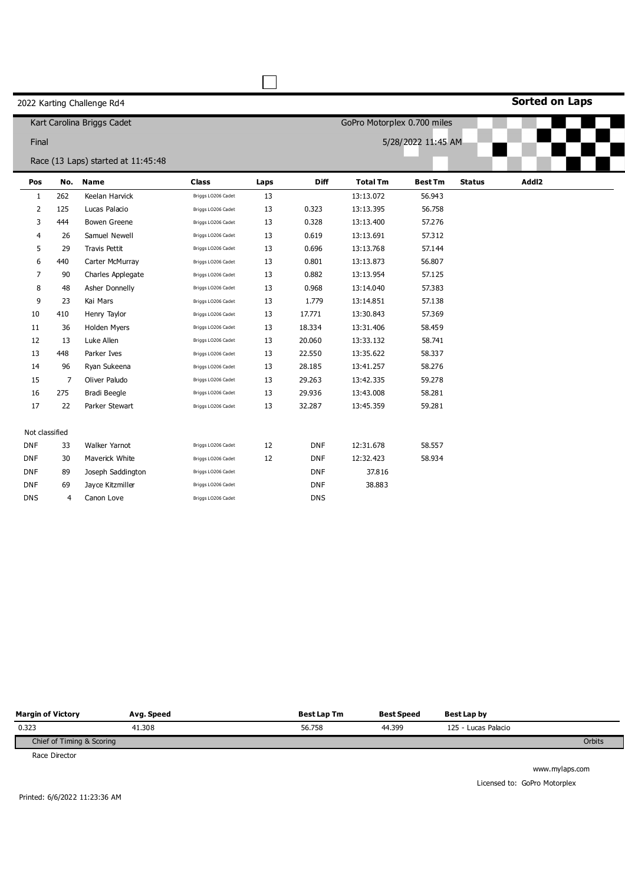**Sorted on Laps**

|                |     | Kart Carolina Briggs Cadet         |                    | GoPro Motorplex 0.700 miles |             |                 |                    |               |       |  |
|----------------|-----|------------------------------------|--------------------|-----------------------------|-------------|-----------------|--------------------|---------------|-------|--|
|                |     |                                    |                    |                             |             |                 |                    |               |       |  |
| Final          |     |                                    |                    |                             |             |                 | 5/28/2022 11:45 AM |               |       |  |
|                |     | Race (13 Laps) started at 11:45:48 |                    |                             |             |                 |                    |               |       |  |
| Pos            | No. | <b>Name</b>                        | <b>Class</b>       | Laps                        | <b>Diff</b> | <b>Total Tm</b> | <b>Best Tm</b>     | <b>Status</b> | Addl2 |  |
| $\mathbf{1}$   | 262 | Keelan Harvick                     | Briggs LO206 Cadet | 13                          |             | 13:13.072       | 56.943             |               |       |  |
| 2              | 125 | Lucas Palacio                      | Briggs LO206 Cadet | 13                          | 0.323       | 13:13.395       | 56.758             |               |       |  |
| 3              | 444 | Bowen Greene                       | Briggs LO206 Cadet | 13                          | 0.328       | 13:13.400       | 57.276             |               |       |  |
| 4              | 26  | Samuel Newell                      | Briggs LO206 Cadet | 13                          | 0.619       | 13:13.691       | 57.312             |               |       |  |
| 5              | 29  | <b>Travis Pettit</b>               | Briggs LO206 Cadet | 13                          | 0.696       | 13:13.768       | 57.144             |               |       |  |
| 6              | 440 | Carter McMurray                    | Briggs LO206 Cadet | 13                          | 0.801       | 13:13.873       | 56.807             |               |       |  |
| 7              | 90  | Charles Applegate                  | Briggs LO206 Cadet | 13                          | 0.882       | 13:13.954       | 57.125             |               |       |  |
| 8              | 48  | Asher Donnelly                     | Briggs LO206 Cadet | 13                          | 0.968       | 13:14.040       | 57.383             |               |       |  |
| 9              | 23  | Kai Mars                           | Briggs LO206 Cadet | 13                          | 1.779       | 13:14.851       | 57.138             |               |       |  |
| 10             | 410 | Henry Taylor                       | Briggs LO206 Cadet | 13                          | 17.771      | 13:30.843       | 57.369             |               |       |  |
| 11             | 36  | <b>Holden Myers</b>                | Briggs LO206 Cadet | 13                          | 18.334      | 13:31.406       | 58.459             |               |       |  |
| 12             | 13  | Luke Allen                         | Briggs LO206 Cadet | 13                          | 20.060      | 13:33.132       | 58.741             |               |       |  |
| 13             | 448 | Parker Ives                        | Briggs LO206 Cadet | 13                          | 22.550      | 13:35.622       | 58.337             |               |       |  |
| 14             | 96  | Ryan Sukeena                       | Briggs LO206 Cadet | 13                          | 28.185      | 13:41.257       | 58.276             |               |       |  |
| 15             | 7   | Oliver Paludo                      | Briggs LO206 Cadet | 13                          | 29.263      | 13:42.335       | 59.278             |               |       |  |
| 16             | 275 | <b>Bradi Beegle</b>                | Briggs LO206 Cadet | 13                          | 29.936      | 13:43.008       | 58.281             |               |       |  |
| 17             | 22  | Parker Stewart                     | Briggs LO206 Cadet | 13                          | 32.287      | 13:45.359       | 59.281             |               |       |  |
| Not classified |     |                                    |                    |                             |             |                 |                    |               |       |  |
| <b>DNF</b>     | 33  | Walker Yarnot                      | Briggs LO206 Cadet | 12                          | <b>DNF</b>  | 12:31.678       | 58.557             |               |       |  |
| <b>DNF</b>     | 30  | Maverick White                     | Briggs LO206 Cadet | 12                          | <b>DNF</b>  | 12:32.423       | 58.934             |               |       |  |
| <b>DNF</b>     | 89  | Joseph Saddington                  | Briggs LO206 Cadet |                             | <b>DNF</b>  | 37.816          |                    |               |       |  |
| <b>DNF</b>     | 69  | Jayce Kitzmiller                   | Briggs LO206 Cadet |                             | <b>DNF</b>  | 38.883          |                    |               |       |  |
| <b>DNS</b>     | 4   | Canon Love                         | Briggs LO206 Cadet |                             | <b>DNS</b>  |                 |                    |               |       |  |

 $\Box$ 

| <b>Margin of Victory</b>    | Avg. Speed | <b>Best Lap Tm</b> | <b>Best Speed</b> | Best Lap by         |        |
|-----------------------------|------------|--------------------|-------------------|---------------------|--------|
| 0.323                       | 41.308     | 56.758             | 44.399            | 125 - Lucas Palacio |        |
| Chief of Timing & Scoring   |            |                    |                   |                     | Orbits |
| $\sim$ $\sim$ $\sim$ $\sim$ |            |                    |                   |                     |        |

Race Director

Printed: 6/6/2022 11:23:36 AM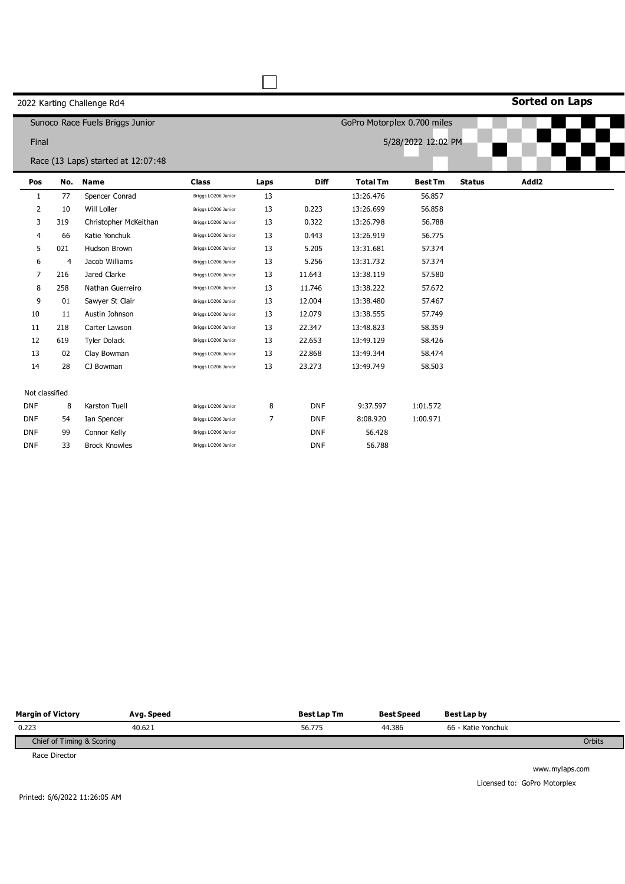**Sorted on Laps**

|                |     | Sunoco Race Fuels Briggs Junior    | GoPro Motorplex 0.700 miles |                    |             |                 |                |               |       |  |  |  |
|----------------|-----|------------------------------------|-----------------------------|--------------------|-------------|-----------------|----------------|---------------|-------|--|--|--|
|                |     |                                    |                             | 5/28/2022 12:02 PM |             |                 |                |               |       |  |  |  |
| Final          |     |                                    |                             |                    |             |                 |                |               |       |  |  |  |
|                |     | Race (13 Laps) started at 12:07:48 |                             |                    |             |                 |                |               |       |  |  |  |
| Pos            | No. | <b>Name</b>                        | <b>Class</b>                | Laps               | <b>Diff</b> | <b>Total Tm</b> | <b>Best Tm</b> | <b>Status</b> | Addl2 |  |  |  |
| 1              | 77  | Spencer Conrad                     | Briggs LO206 Junior         | 13                 |             | 13:26.476       | 56.857         |               |       |  |  |  |
| $\overline{2}$ | 10  | Will Loller                        | Briggs LO206 Junior         | 13                 | 0.223       | 13:26.699       | 56.858         |               |       |  |  |  |
| 3              | 319 | Christopher McKeithan              | Briggs LO206 Junior         | 13                 | 0.322       | 13:26.798       | 56.788         |               |       |  |  |  |
| 4              | 66  | Katie Yonchuk                      | Briggs LO206 Junior         | 13                 | 0.443       | 13:26.919       | 56.775         |               |       |  |  |  |
| 5              | 021 | Hudson Brown                       | Briggs LO206 Junior         | 13                 | 5.205       | 13:31.681       | 57.374         |               |       |  |  |  |
| 6              | 4   | Jacob Williams                     | Briggs LO206 Junior         | 13                 | 5.256       | 13:31.732       | 57.374         |               |       |  |  |  |
| 7              | 216 | Jared Clarke                       | Briggs LO206 Junior         | 13                 | 11.643      | 13:38.119       | 57.580         |               |       |  |  |  |
| 8              | 258 | Nathan Guerreiro                   | Briggs LO206 Junior         | 13                 | 11.746      | 13:38.222       | 57.672         |               |       |  |  |  |
| 9              | 01  | Sawyer St Clair                    | Briggs LO206 Junior         | 13                 | 12.004      | 13:38.480       | 57.467         |               |       |  |  |  |
| 10             | 11  | Austin Johnson                     | Briggs LO206 Junior         | 13                 | 12.079      | 13:38.555       | 57.749         |               |       |  |  |  |
| 11             | 218 | Carter Lawson                      | Briggs LO206 Junior         | 13                 | 22.347      | 13:48.823       | 58.359         |               |       |  |  |  |
| 12             | 619 | <b>Tyler Dolack</b>                | Briggs LO206 Junior         | 13                 | 22.653      | 13:49.129       | 58.426         |               |       |  |  |  |
| 13             | 02  | Clay Bowman                        | Briggs LO206 Junior         | 13                 | 22.868      | 13:49.344       | 58.474         |               |       |  |  |  |
| 14             | 28  | CJ Bowman                          | Briggs LO206 Junior         | 13                 | 23.273      | 13:49.749       | 58.503         |               |       |  |  |  |
|                |     |                                    |                             |                    |             |                 |                |               |       |  |  |  |
| Not classified |     |                                    |                             |                    |             |                 |                |               |       |  |  |  |
| <b>DNF</b>     | 8   | Karston Tuell                      | Briggs LO206 Junior         | 8                  | <b>DNF</b>  | 9:37.597        | 1:01.572       |               |       |  |  |  |
| <b>DNF</b>     | 54  | Ian Spencer                        | Briggs LO206 Junior         | $\overline{7}$     | <b>DNF</b>  | 8:08.920        | 1:00.971       |               |       |  |  |  |
| <b>DNF</b>     | 99  | Connor Kelly                       | Briggs LO206 Junior         |                    | <b>DNF</b>  | 56.428          |                |               |       |  |  |  |
| <b>DNF</b>     | 33  | <b>Brock Knowles</b>               | Briggs LO206 Junior         |                    | <b>DNF</b>  | 56.788          |                |               |       |  |  |  |

П

| <b>Margin of Victory</b>  | Avg. Speed | <b>Best Lap Tm</b> | <b>Best Speed</b> | Best Lap by        |        |
|---------------------------|------------|--------------------|-------------------|--------------------|--------|
| 0.223                     | 40.621     | 56.775             | 44.386            | 66 - Katie Yonchuk |        |
| Chief of Timing & Scoring |            |                    |                   |                    | Orbits |
| .                         |            |                    |                   |                    |        |

Race Director

www.mylaps.com Licensed to: GoPro Motorplex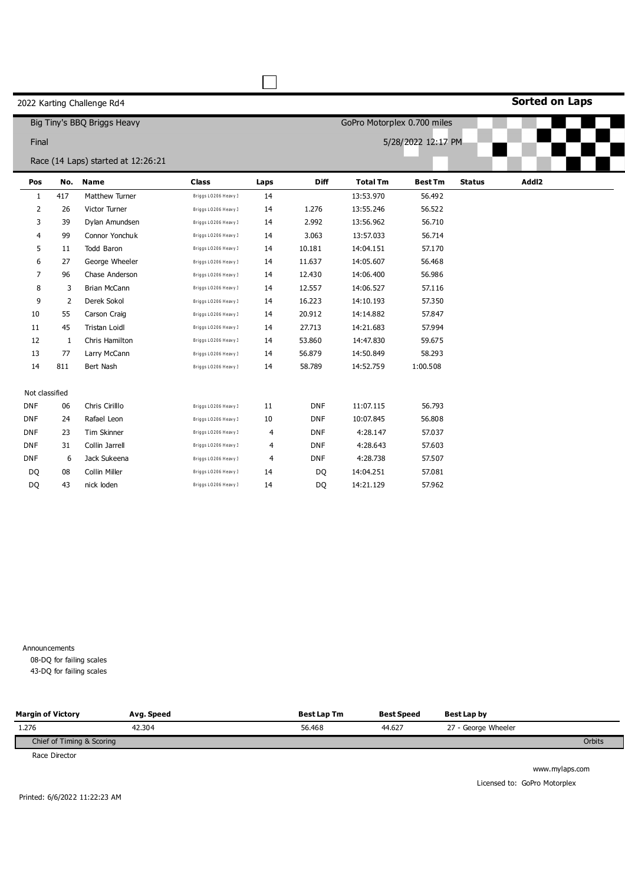**Sorted on Laps**

|                |                | Big Tiny's BBQ Briggs Heavy        |                      |      |                | GoPro Motorplex 0.700 miles |                |               |       |  |  |
|----------------|----------------|------------------------------------|----------------------|------|----------------|-----------------------------|----------------|---------------|-------|--|--|
| Final          |                |                                    |                      |      |                | 5/28/2022 12:17 PM          |                |               |       |  |  |
|                |                |                                    |                      |      |                |                             |                |               |       |  |  |
|                |                | Race (14 Laps) started at 12:26:21 |                      |      |                |                             |                |               |       |  |  |
| Pos            | No.            | <b>Name</b>                        | <b>Class</b>         | Laps | <b>Diff</b>    | <b>Total Tm</b>             | <b>Best Tm</b> | <b>Status</b> | Addl2 |  |  |
| 1              | 417            | Matthew Turner                     | Briggs LO206 Heavy 3 | 14   |                | 13:53.970                   | 56.492         |               |       |  |  |
| 2              | 26             | Victor Turner                      | Briggs LO206 Heavy 3 | 14   | 1.276          | 13:55.246                   | 56.522         |               |       |  |  |
| 3              | 39             | Dylan Amundsen                     | Briggs LO206 Heavy 3 | 14   | 2.992          | 13:56.962                   | 56.710         |               |       |  |  |
| 4              | 99             | Connor Yonchuk                     | Briggs LO206 Heavy 3 | 14   | 3.063          | 13:57.033                   | 56.714         |               |       |  |  |
| 5              | 11             | Todd Baron                         | Briggs LO206 Heavy 3 | 14   | 10.181         | 14:04.151                   | 57.170         |               |       |  |  |
| 6              | 27             | George Wheeler                     | Briggs LO206 Heavy 3 | 14   | 11.637         | 14:05.607                   | 56.468         |               |       |  |  |
| $\overline{7}$ | 96             | Chase Anderson                     | Briggs LO206 Heavy 3 | 14   | 12.430         | 14:06.400                   | 56.986         |               |       |  |  |
| 8              | 3              | <b>Brian McCann</b>                | Briggs LO206 Heavy 3 | 14   | 12.557         | 14:06.527                   | 57.116         |               |       |  |  |
| 9              | $\overline{2}$ | Derek Sokol                        | Briggs LO206 Heavy 3 | 14   | 16.223         | 14:10.193                   | 57.350         |               |       |  |  |
| 10             | 55             | Carson Craig                       | Briggs LO206 Heavy 3 | 14   | 20.912         | 14:14.882                   | 57.847         |               |       |  |  |
| 11             | 45             | <b>Tristan Loidl</b>               | Briggs LO206 Heavy 3 | 14   | 27.713         | 14:21.683                   | 57.994         |               |       |  |  |
| 12             | $\mathbf{1}$   | Chris Hamilton                     | Briggs LO206 Heavy 3 | 14   | 53.860         | 14:47.830                   | 59.675         |               |       |  |  |
| 13             | 77             | Larry McCann                       | Briggs LO206 Heavy 3 | 14   | 56.879         | 14:50.849                   | 58.293         |               |       |  |  |
| 14             | 811            | Bert Nash                          | Briggs LO206 Heavy 3 | 14   | 58.789         | 14:52.759                   | 1:00.508       |               |       |  |  |
|                |                |                                    |                      |      |                |                             |                |               |       |  |  |
| Not classified |                |                                    |                      |      |                |                             |                |               |       |  |  |
| <b>DNF</b>     | 06             | Chris Cirillo                      | Briggs LO206 Heavy 3 | 11   | <b>DNF</b>     | 11:07.115                   | 56.793         |               |       |  |  |
| <b>DNF</b>     | 24             | Rafael Leon                        | Briggs LO206 Heavy 3 | 10   | <b>DNF</b>     | 10:07.845                   | 56.808         |               |       |  |  |
| <b>DNF</b>     | 23             | Tim Skinner                        | Briggs LO206 Heavy 3 | 4    | <b>DNF</b>     | 4:28.147                    | 57.037         |               |       |  |  |
| <b>DNF</b>     | 31             | Collin Jarrell                     | Briggs LO206 Heavy 3 | 4    | <b>DNF</b>     | 4:28.643                    | 57.603         |               |       |  |  |
| <b>DNF</b>     | 6              | Jack Sukeena                       | Briggs LO206 Heavy 3 | 4    | <b>DNF</b>     | 4:28.738                    | 57.507         |               |       |  |  |
| DQ             | 08             | Collin Miller                      | Briggs LO206 Heavy 3 | 14   | DQ             | 14:04.251                   | 57.081         |               |       |  |  |
| DO             | 43             | nick loden                         | Briggs LO206 Heavy 3 | 14   | D <sub>Q</sub> | 14:21.129                   | 57.962         |               |       |  |  |

┌─

Announcements 08-DQ for failing scales 43-DQ for failing scales

| <b>Margin of Victory</b>  | Avg. Speed | <b>Best Lap Tm</b> | <b>Best Speed</b> | Best Lap by         |        |
|---------------------------|------------|--------------------|-------------------|---------------------|--------|
| 1.276                     | 42.304     | 56.468             | 44.627            | 27 - George Wheeler |        |
| Chief of Timing & Scoring |            |                    |                   |                     | Orbits |

Race Director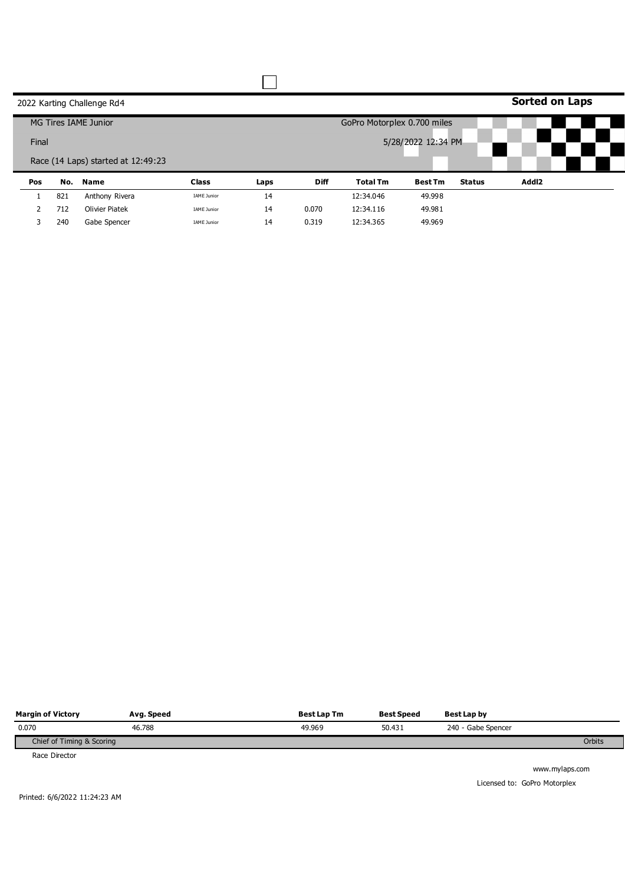|     |       | 2022 Karting Challenge Rd4         |                    |      |                    |                             |                |               | <b>Sorted on Laps</b> |  |  |
|-----|-------|------------------------------------|--------------------|------|--------------------|-----------------------------|----------------|---------------|-----------------------|--|--|
|     |       | MG Tires IAME Junior               |                    |      |                    | GoPro Motorplex 0.700 miles |                |               |                       |  |  |
|     | Final |                                    |                    |      | 5/28/2022 12:34 PM |                             |                |               |                       |  |  |
|     |       | Race (14 Laps) started at 12:49:23 |                    |      |                    |                             |                |               |                       |  |  |
| Pos |       | No. Name                           | <b>Class</b>       | Laps | <b>Diff</b>        | <b>Total Tm</b>             | <b>Best Tm</b> | <b>Status</b> | Addl2                 |  |  |
|     | 821   | Anthony Rivera                     | <b>IAME Junior</b> | 14   |                    | 12:34.046                   | 49.998         |               |                       |  |  |
| 2   | 712   | <b>Olivier Piatek</b>              | <b>IAME Junior</b> | 14   | 0.070              | 12:34.116                   | 49.981         |               |                       |  |  |
| 3   | 240   | Gabe Spencer                       | <b>IAME Junior</b> | 14   | 0.319              | 12:34.365                   | 49.969         |               |                       |  |  |

| <b>Margin of Victory</b>  | Avg. Speed | <b>Best Lap Tm</b> | <b>Best Speed</b> | Best Lap by        |        |
|---------------------------|------------|--------------------|-------------------|--------------------|--------|
| 0.070                     | 46.788     | 49.969             | 50.431            | 240 - Gabe Spencer |        |
| Chief of Timing & Scoring |            |                    |                   |                    | Orbits |
| Race Director             |            |                    |                   |                    |        |

Printed: 6/6/2022 11:24:23 AM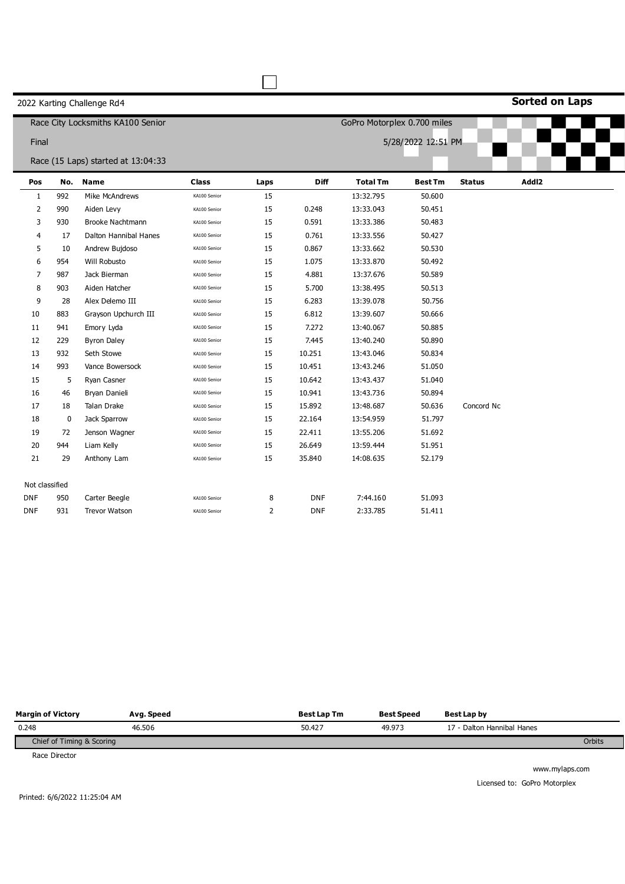**Sorted on Laps**

|                |             | Race City Locksmiths KA100 Senior  |              |                |             | GoPro Motorplex 0.700 miles |                    |               |       |  |
|----------------|-------------|------------------------------------|--------------|----------------|-------------|-----------------------------|--------------------|---------------|-------|--|
| Final          |             |                                    |              |                |             |                             | 5/28/2022 12:51 PM |               |       |  |
|                |             | Race (15 Laps) started at 13:04:33 |              |                |             |                             |                    |               |       |  |
| Pos            | No.         | <b>Name</b>                        | <b>Class</b> | Laps           | <b>Diff</b> | <b>Total Tm</b>             | <b>Best Tm</b>     | <b>Status</b> | Addl2 |  |
| $\mathbf{1}$   | 992         | Mike McAndrews                     | KA100 Senior | 15             |             | 13:32.795                   | 50.600             |               |       |  |
| $\overline{2}$ | 990         | Aiden Levy                         | KA100 Senior | 15             | 0.248       | 13:33.043                   | 50.451             |               |       |  |
| 3              | 930         | <b>Brooke Nachtmann</b>            | KA100 Senior | 15             | 0.591       | 13:33.386                   | 50.483             |               |       |  |
| 4              | 17          | Dalton Hannibal Hanes              | KA100 Senior | 15             | 0.761       | 13:33.556                   | 50.427             |               |       |  |
| 5              | 10          | Andrew Bujdoso                     | KA100 Senior | 15             | 0.867       | 13:33.662                   | 50.530             |               |       |  |
| 6              | 954         | Will Robusto                       | KA100 Senior | 15             | 1.075       | 13:33.870                   | 50.492             |               |       |  |
| 7              | 987         | Jack Bierman                       | KA100 Senior | 15             | 4.881       | 13:37.676                   | 50.589             |               |       |  |
| 8              | 903         | Aiden Hatcher                      | KA100 Senior | 15             | 5.700       | 13:38.495                   | 50.513             |               |       |  |
| 9              | 28          | Alex Delemo III                    | KA100 Senior | 15             | 6.283       | 13:39.078                   | 50.756             |               |       |  |
| 10             | 883         | Grayson Upchurch III               | KA100 Senior | 15             | 6.812       | 13:39.607                   | 50.666             |               |       |  |
| 11             | 941         | Emory Lyda                         | KA100 Senior | 15             | 7.272       | 13:40.067                   | 50.885             |               |       |  |
| 12             | 229         | <b>Byron Daley</b>                 | KA100 Senior | 15             | 7.445       | 13:40.240                   | 50.890             |               |       |  |
| 13             | 932         | Seth Stowe                         | KA100 Senior | 15             | 10.251      | 13:43.046                   | 50.834             |               |       |  |
| 14             | 993         | Vance Bowersock                    | KA100 Senior | 15             | 10.451      | 13:43.246                   | 51.050             |               |       |  |
| 15             | 5           | Ryan Casner                        | KA100 Senior | 15             | 10.642      | 13:43.437                   | 51.040             |               |       |  |
| 16             | 46          | Bryan Danieli                      | KA100 Senior | 15             | 10.941      | 13:43.736                   | 50.894             |               |       |  |
| 17             | 18          | Talan Drake                        | KA100 Senior | 15             | 15.892      | 13:48.687                   | 50.636             | Concord Nc    |       |  |
| 18             | $\mathbf 0$ | Jack Sparrow                       | KA100 Senior | 15             | 22.164      | 13:54.959                   | 51.797             |               |       |  |
| 19             | 72          | Jenson Wagner                      | KA100 Senior | 15             | 22.411      | 13:55.206                   | 51.692             |               |       |  |
| 20             | 944         | Liam Kelly                         | KA100 Senior | 15             | 26.649      | 13:59.444                   | 51.951             |               |       |  |
| 21             | 29          | Anthony Lam                        | KA100 Senior | 15             | 35.840      | 14:08.635                   | 52.179             |               |       |  |
|                |             |                                    |              |                |             |                             |                    |               |       |  |
| Not classified |             |                                    |              |                |             |                             |                    |               |       |  |
| <b>DNF</b>     | 950         | Carter Beegle                      | KA100 Senior | 8              | <b>DNF</b>  | 7:44.160                    | 51.093             |               |       |  |
| <b>DNF</b>     | 931         | <b>Trevor Watson</b>               | KA100 Senior | $\overline{2}$ | <b>DNF</b>  | 2:33.785                    | 51.411             |               |       |  |

 $\Box$ 

| <b>Margin of Victory</b>  | Avg. Speed | <b>Best Lap Tm</b> | <b>Best Speed</b> | Best Lap by                |        |
|---------------------------|------------|--------------------|-------------------|----------------------------|--------|
| 0.248                     | 46.506     | 50.427             | 49.973            | 17 - Dalton Hannibal Hanes |        |
| Chief of Timing & Scoring |            |                    |                   |                            | Orbits |
|                           |            |                    |                   |                            |        |

Race Director

www.mylaps.com Licensed to: GoPro Motorplex

Printed: 6/6/2022 11:25:04 AM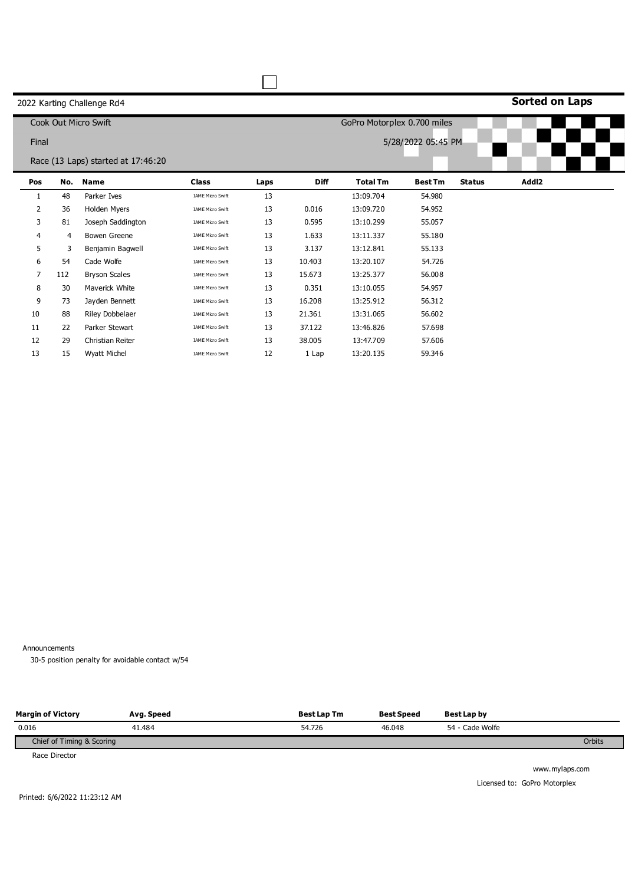# **Sorted on Laps**

|                |     | Cook Out Micro Swift               |                         |      |             | GoPro Motorplex 0.700 miles |                    |               |       |
|----------------|-----|------------------------------------|-------------------------|------|-------------|-----------------------------|--------------------|---------------|-------|
| Final          |     |                                    |                         |      |             |                             | 5/28/2022 05:45 PM |               |       |
|                |     |                                    |                         |      |             |                             |                    |               |       |
|                |     | Race (13 Laps) started at 17:46:20 |                         |      |             |                             |                    |               |       |
| Pos            | No. | <b>Name</b>                        | <b>Class</b>            | Laps | <b>Diff</b> | <b>Total Tm</b>             | <b>Best Tm</b>     | <b>Status</b> | Addl2 |
| 1              | 48  | Parker Ives                        | <b>IAME Micro Swift</b> | 13   |             | 13:09.704                   | 54.980             |               |       |
| $\overline{2}$ | 36  | Holden Myers                       | <b>IAME Micro Swift</b> | 13   | 0.016       | 13:09.720                   | 54.952             |               |       |
| 3              | 81  | Joseph Saddington                  | <b>IAME Micro Swift</b> | 13   | 0.595       | 13:10.299                   | 55.057             |               |       |
| 4              | 4   | <b>Bowen Greene</b>                | <b>IAME Micro Swift</b> | 13   | 1.633       | 13:11.337                   | 55.180             |               |       |
| 5              | 3   | Benjamin Bagwell                   | <b>IAME Micro Swift</b> | 13   | 3.137       | 13:12.841                   | 55.133             |               |       |
| 6              | 54  | Cade Wolfe                         | IAME Micro Swift        | 13   | 10.403      | 13:20.107                   | 54.726             |               |       |
| 7              | 112 | <b>Bryson Scales</b>               | <b>IAME Micro Swift</b> | 13   | 15.673      | 13:25.377                   | 56.008             |               |       |
| 8              | 30  | Maverick White                     | <b>IAME Micro Swift</b> | 13   | 0.351       | 13:10.055                   | 54.957             |               |       |
| 9              | 73  | Jayden Bennett                     | <b>IAME Micro Swift</b> | 13   | 16.208      | 13:25.912                   | 56.312             |               |       |
| 10             | 88  | Riley Dobbelaer                    | IAME Micro Swift        | 13   | 21.361      | 13:31.065                   | 56.602             |               |       |
| 11             | 22  | Parker Stewart                     | IAME Micro Swift        | 13   | 37.122      | 13:46.826                   | 57.698             |               |       |
| 12             | 29  | Christian Reiter                   | <b>IAME Micro Swift</b> | 13   | 38.005      | 13:47.709                   | 57.606             |               |       |
| 13             | 15  | <b>Wyatt Michel</b>                | <b>IAME Micro Swift</b> | 12   | 1 Lap       | 13:20.135                   | 59.346             |               |       |

Announcements

0 30-5 position penalty for avoidable contact w/54

| <b>Margin of Victory</b>  | Avg. Speed | <b>Best Lap Tm</b> | <b>Best Speed</b> | Best Lap by     |        |
|---------------------------|------------|--------------------|-------------------|-----------------|--------|
| 0.016                     | 41.484     | 54.726             | 46.048            | 54 - Cade Wolfe |        |
| Chief of Timing & Scoring |            |                    |                   |                 | Orbits |

Race Director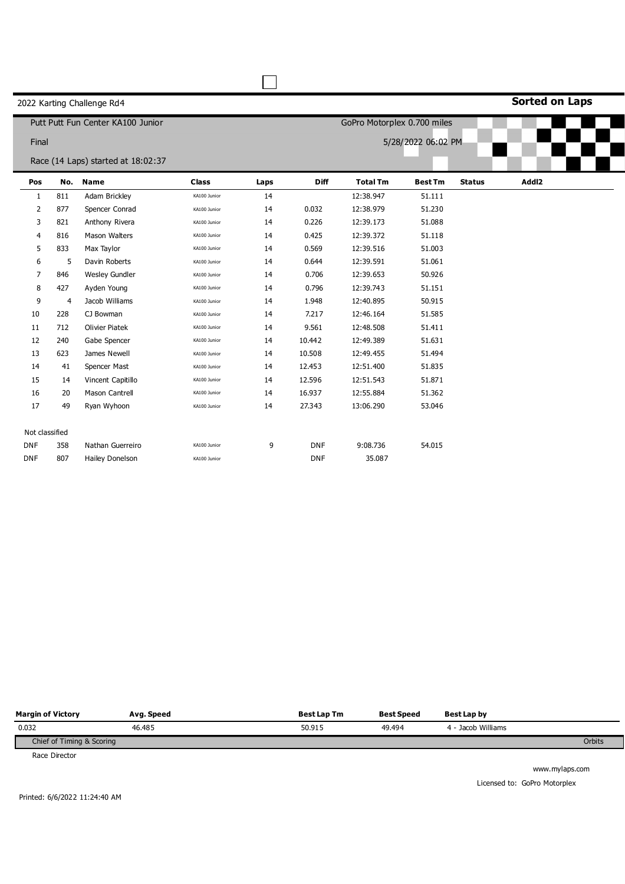**Sorted on Laps**

|                |                | Putt Putt Fun Center KA100 Junior  |              |      |             | GoPro Motorplex 0.700 miles |                    |               |       |  |
|----------------|----------------|------------------------------------|--------------|------|-------------|-----------------------------|--------------------|---------------|-------|--|
| Final          |                |                                    |              |      |             |                             | 5/28/2022 06:02 PM |               |       |  |
|                |                | Race (14 Laps) started at 18:02:37 |              |      |             |                             |                    |               |       |  |
| Pos            |                | No. Name                           | <b>Class</b> | Laps | <b>Diff</b> | <b>Total Tm</b>             | <b>Best Tm</b>     | <b>Status</b> | Addl2 |  |
| 1              | 811            | Adam Brickley                      | KA100 Junior | 14   |             | 12:38.947                   | 51.111             |               |       |  |
| 2              | 877            | Spencer Conrad                     | KA100 Junior | 14   | 0.032       | 12:38.979                   | 51.230             |               |       |  |
| 3              | 821            | Anthony Rivera                     | KA100 Junior | 14   | 0.226       | 12:39.173                   | 51.088             |               |       |  |
| 4              | 816            | <b>Mason Walters</b>               | KA100 Junior | 14   | 0.425       | 12:39.372                   | 51.118             |               |       |  |
| 5              | 833            | Max Taylor                         | KA100 Junior | 14   | 0.569       | 12:39.516                   | 51.003             |               |       |  |
| 6              | 5              | Davin Roberts                      | KA100 Junior | 14   | 0.644       | 12:39.591                   | 51.061             |               |       |  |
| 7              | 846            | <b>Wesley Gundler</b>              | KA100 Junior | 14   | 0.706       | 12:39.653                   | 50.926             |               |       |  |
| 8              | 427            | Ayden Young                        | KA100 Junior | 14   | 0.796       | 12:39.743                   | 51.151             |               |       |  |
| 9              | $\overline{4}$ | Jacob Williams                     | KA100 Junior | 14   | 1.948       | 12:40.895                   | 50.915             |               |       |  |
| 10             | 228            | CJ Bowman                          | KA100 Junior | 14   | 7.217       | 12:46.164                   | 51.585             |               |       |  |
| 11             | 712            | <b>Olivier Piatek</b>              | KA100 Junior | 14   | 9.561       | 12:48.508                   | 51.411             |               |       |  |
| 12             | 240            | Gabe Spencer                       | KA100 Junior | 14   | 10.442      | 12:49.389                   | 51.631             |               |       |  |
| 13             | 623            | James Newell                       | KA100 Junior | 14   | 10.508      | 12:49.455                   | 51.494             |               |       |  |
| 14             | 41             | Spencer Mast                       | KA100 Junior | 14   | 12.453      | 12:51.400                   | 51.835             |               |       |  |
| 15             | 14             | Vincent Capitillo                  | KA100 Junior | 14   | 12.596      | 12:51.543                   | 51.871             |               |       |  |
| 16             | 20             | <b>Mason Cantrell</b>              | KA100 Junior | 14   | 16.937      | 12:55.884                   | 51.362             |               |       |  |
| 17             | 49             | Ryan Wyhoon                        | KA100 Junior | 14   | 27.343      | 13:06.290                   | 53.046             |               |       |  |
| Not classified |                |                                    |              |      |             |                             |                    |               |       |  |
| <b>DNF</b>     | 358            | Nathan Guerreiro                   | KA100 Junior | 9    | <b>DNF</b>  | 9:08.736                    | 54.015             |               |       |  |
| <b>DNF</b>     | 807            | <b>Hailey Donelson</b>             | KA100 Junior |      | <b>DNF</b>  | 35.087                      |                    |               |       |  |

П

| <b>Margin of Victory</b>  | Avg. Speed | <b>Best Lap Tm</b> | <b>Best Speed</b> | Best Lap by        |        |
|---------------------------|------------|--------------------|-------------------|--------------------|--------|
| 0.032                     | 46.485     | 50.915             | 49.494            | 4 - Jacob Williams |        |
| Chief of Timing & Scoring |            |                    |                   |                    | Orbits |
|                           |            |                    |                   |                    |        |

Race Director

www.mylaps.com Licensed to: GoPro Motorplex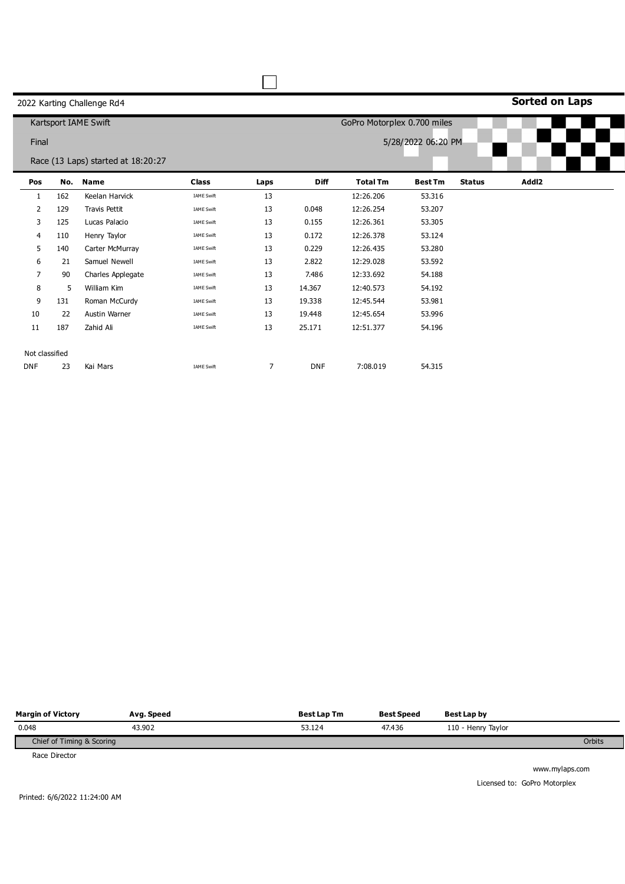|  |  | 2022 Karting Challenge Rd4 |  |
|--|--|----------------------------|--|
|--|--|----------------------------|--|

**Sorted on Laps**

|                |     | Kartsport IAME Swift               |                   |      |             | GoPro Motorplex 0.700 miles |                    |               |       |  |
|----------------|-----|------------------------------------|-------------------|------|-------------|-----------------------------|--------------------|---------------|-------|--|
| Final          |     |                                    |                   |      |             |                             | 5/28/2022 06:20 PM |               |       |  |
|                |     | Race (13 Laps) started at 18:20:27 |                   |      |             |                             |                    |               |       |  |
| Pos            | No. | <b>Name</b>                        | <b>Class</b>      | Laps | <b>Diff</b> | <b>Total Tm</b>             | <b>Best Tm</b>     | <b>Status</b> | Addl2 |  |
| 1              | 162 | Keelan Harvick                     | IAME Swift        | 13   |             | 12:26.206                   | 53.316             |               |       |  |
| 2              | 129 | Travis Pettit                      | IAME Swift        | 13   | 0.048       | 12:26.254                   | 53.207             |               |       |  |
| 3              | 125 | Lucas Palacio                      | IAME Swift        | 13   | 0.155       | 12:26.361                   | 53.305             |               |       |  |
| 4              | 110 | Henry Taylor                       | <b>IAME Swift</b> | 13   | 0.172       | 12:26.378                   | 53.124             |               |       |  |
| 5              | 140 | Carter McMurray                    | IAME Swift        | 13   | 0.229       | 12:26.435                   | 53.280             |               |       |  |
| 6              | 21  | Samuel Newell                      | <b>IAME Swift</b> | 13   | 2.822       | 12:29.028                   | 53.592             |               |       |  |
| $\overline{7}$ | 90  | Charles Applegate                  | <b>IAME Swift</b> | 13   | 7.486       | 12:33.692                   | 54.188             |               |       |  |
| 8              | 5   | William Kim                        | IAME Swift        | 13   | 14.367      | 12:40.573                   | 54.192             |               |       |  |
| 9              | 131 | Roman McCurdy                      | <b>IAME Swift</b> | 13   | 19.338      | 12:45.544                   | 53.981             |               |       |  |
| 10             | 22  | Austin Warner                      | IAME Swift        | 13   | 19.448      | 12:45.654                   | 53.996             |               |       |  |
| 11             | 187 | Zahid Ali                          | <b>IAME Swift</b> | 13   | 25.171      | 12:51.377                   | 54.196             |               |       |  |
| Not classified |     |                                    |                   |      |             |                             |                    |               |       |  |
|                |     |                                    |                   |      |             |                             |                    |               |       |  |
| <b>DNF</b>     | 23  | Kai Mars                           | <b>IAME Swift</b> | 7    | <b>DNF</b>  | 7:08.019                    | 54.315             |               |       |  |

 $\Box$ 

| <b>Margin of Victory</b>  | Avg. Speed | <b>Best Lap Tm</b> | <b>Best Speed</b> | Best Lap by        |        |
|---------------------------|------------|--------------------|-------------------|--------------------|--------|
| 0.048                     | 43.902     | 53.124             | 47,436            | 110 - Henry Taylor |        |
| Chief of Timing & Scoring |            |                    |                   |                    | Orbits |
|                           |            |                    |                   |                    |        |

Race Director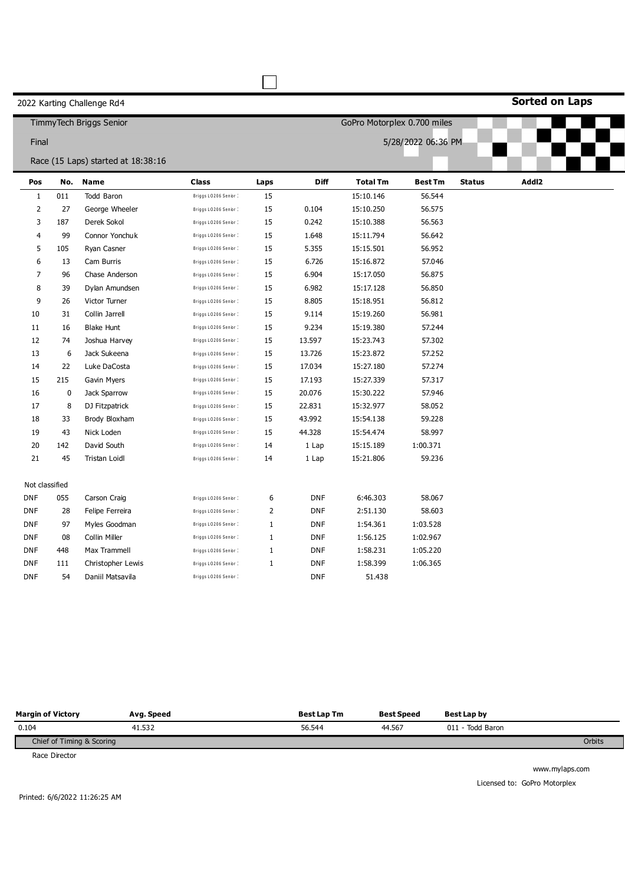# **Sorted on Laps**

|                |           | Timmy Tech Briggs Senior           |                      |                |            | GoPro Motorplex 0.700 miles |                    |               |       |  |
|----------------|-----------|------------------------------------|----------------------|----------------|------------|-----------------------------|--------------------|---------------|-------|--|
| Final          |           |                                    |                      |                |            |                             | 5/28/2022 06:36 PM |               |       |  |
|                |           | Race (15 Laps) started at 18:38:16 |                      |                |            |                             |                    |               |       |  |
| Pos            | No.       | <b>Name</b>                        | <b>Class</b>         | Laps           | Diff       | <b>Total Tm</b>             | <b>Best Tm</b>     | <b>Status</b> | Addl2 |  |
| $\mathbf{1}$   | 011       | Todd Baron                         | Briggs LO206 Senior: | 15             |            | 15:10.146                   | 56.544             |               |       |  |
| $\overline{2}$ | 27        | George Wheeler                     | Briggs LO206 Senior: | 15             | 0.104      | 15:10.250                   | 56.575             |               |       |  |
| 3              | 187       | Derek Sokol                        | Briggs LO206 Senior: | 15             | 0.242      | 15:10.388                   | 56.563             |               |       |  |
| 4              | 99        | Connor Yonchuk                     | Briggs LO206 Senior: | 15             | 1.648      | 15:11.794                   | 56.642             |               |       |  |
| 5              | 105       | Ryan Casner                        | Briggs LO206 Senior: | 15             | 5.355      | 15:15.501                   | 56.952             |               |       |  |
| 6              | 13        | Cam Burris                         | Briggs LO206 Senior: | 15             | 6.726      | 15:16.872                   | 57.046             |               |       |  |
| 7              | 96        | Chase Anderson                     | Briggs LO206 Senior: | 15             | 6.904      | 15:17.050                   | 56.875             |               |       |  |
| 8              | 39        | Dylan Amundsen                     | Briggs LO206 Senior: | 15             | 6.982      | 15:17.128                   | 56.850             |               |       |  |
| 9              | 26        | Victor Turner                      | Briggs LO206 Senior: | 15             | 8.805      | 15:18.951                   | 56.812             |               |       |  |
| 10             | 31        | Collin Jarrell                     | Briggs LO206 Senior: | 15             | 9.114      | 15:19.260                   | 56.981             |               |       |  |
| 11             | 16        | <b>Blake Hunt</b>                  | Briggs LO206 Senior: | 15             | 9.234      | 15:19.380                   | 57.244             |               |       |  |
| 12             | 74        | Joshua Harvey                      | Briggs LO206 Senior: | 15             | 13.597     | 15:23.743                   | 57.302             |               |       |  |
| 13             | 6         | Jack Sukeena                       | Briggs LO206 Senior: | 15             | 13.726     | 15:23.872                   | 57.252             |               |       |  |
| 14             | 22        | Luke DaCosta                       | Briggs LO206 Senior: | 15             | 17.034     | 15:27.180                   | 57.274             |               |       |  |
| 15             | 215       | Gavin Myers                        | Briggs LO206 Senior: | 15             | 17.193     | 15:27.339                   | 57.317             |               |       |  |
| 16             | $\pmb{0}$ | Jack Sparrow                       | Briggs LO206 Senior: | 15             | 20.076     | 15:30.222                   | 57.946             |               |       |  |
| 17             | 8         | DJ Fitzpatrick                     | Briggs LO206 Senior: | 15             | 22.831     | 15:32.977                   | 58.052             |               |       |  |
| 18             | 33        | Brody Bloxham                      | Briggs LO206 Senior: | 15             | 43.992     | 15:54.138                   | 59.228             |               |       |  |
| 19             | 43        | Nick Loden                         | Briggs LO206 Senior: | 15             | 44.328     | 15:54.474                   | 58.997             |               |       |  |
| 20             | 142       | David South                        | Briggs LO206 Senior: | 14             | 1 Lap      | 15:15.189                   | 1:00.371           |               |       |  |
| 21             | 45        | Tristan Loidl                      | Briggs LO206 Senior: | 14             | 1 Lap      | 15:21.806                   | 59.236             |               |       |  |
| Not classified |           |                                    |                      |                |            |                             |                    |               |       |  |
| <b>DNF</b>     | 055       | Carson Craig                       | Briggs LO206 Senior: | 6              | <b>DNF</b> | 6:46.303                    | 58.067             |               |       |  |
| <b>DNF</b>     | 28        | Felipe Ferreira                    | Briggs LO206 Senior: | $\overline{2}$ | <b>DNF</b> | 2:51.130                    | 58.603             |               |       |  |
| <b>DNF</b>     | 97        | Myles Goodman                      | Briggs LO206 Senior: | $\mathbf{1}$   | <b>DNF</b> | 1:54.361                    | 1:03.528           |               |       |  |
| DNF            | 08        | Collin Miller                      | Briggs LO206 Senior: | $1\,$          | <b>DNF</b> | 1:56.125                    | 1:02.967           |               |       |  |
| DNF            | 448       | Max Trammell                       | Briggs LO206 Senior: | $\mathbf{1}$   | <b>DNF</b> | 1:58.231                    | 1:05.220           |               |       |  |
| <b>DNF</b>     | 111       | Christopher Lewis                  | Briggs LO206 Senior: | $\mathbf{1}$   | <b>DNF</b> | 1:58.399                    | 1:06.365           |               |       |  |
| <b>DNF</b>     | 54        | Daniil Matsavila                   | Briggs LO206 Senior: |                | <b>DNF</b> | 51.438                      |                    |               |       |  |

 $\Box$ 

| <b>Margin of Victory</b>  | Avg. Speed | <b>Best Lap Tm</b> | <b>Best Speed</b> | Best Lap by      |        |
|---------------------------|------------|--------------------|-------------------|------------------|--------|
| 0.104                     | 41.532     | 56.544             | 44.567            | 011 - Todd Baron |        |
| Chief of Timing & Scoring |            |                    |                   |                  | Orbits |
| Brand Black and           |            |                    |                   |                  |        |

Race Director

www.mylaps.com Licensed to: GoPro Motorplex

Printed: 6/6/2022 11:26:25 AM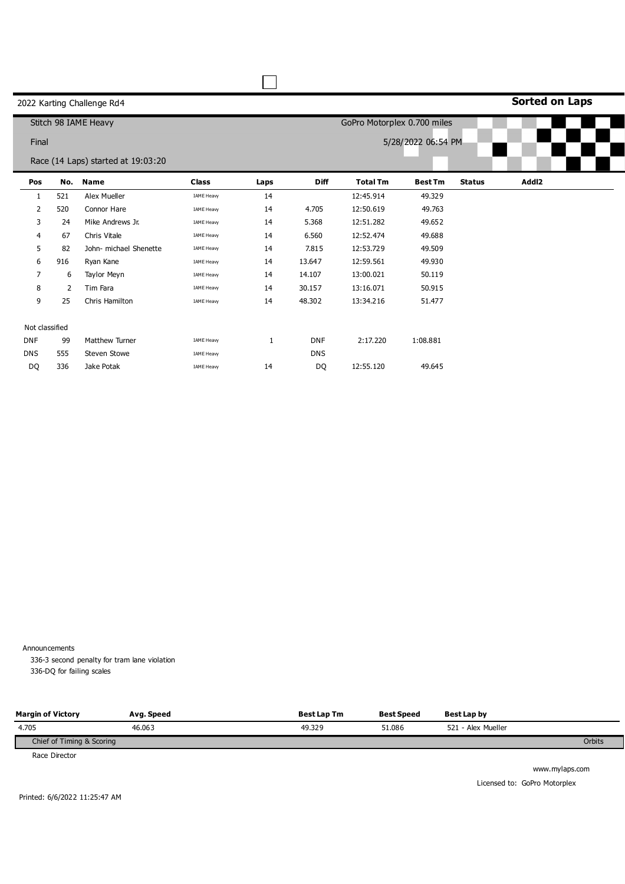# **Sorted on Laps**

|                |     | Stitch 98 IAME Heavy               |                   |      |             | GoPro Motorplex 0.700 miles |                    |               |       |  |
|----------------|-----|------------------------------------|-------------------|------|-------------|-----------------------------|--------------------|---------------|-------|--|
| Final          |     |                                    |                   |      |             |                             | 5/28/2022 06:54 PM |               |       |  |
|                |     | Race (14 Laps) started at 19:03:20 |                   |      |             |                             |                    |               |       |  |
| Pos            | No. | <b>Name</b>                        | <b>Class</b>      | Laps | <b>Diff</b> | <b>Total Tm</b>             | <b>Best Tm</b>     | <b>Status</b> | Addl2 |  |
| 1              | 521 | Alex Mueller                       | IAME Heavy        | 14   |             | 12:45.914                   | 49.329             |               |       |  |
| 2              | 520 | Connor Hare                        | <b>IAME Heavy</b> | 14   | 4.705       | 12:50.619                   | 49.763             |               |       |  |
| 3              | 24  | Mike Andrews Jr.                   | <b>IAME Heavy</b> | 14   | 5.368       | 12:51.282                   | 49.652             |               |       |  |
| $\overline{4}$ | 67  | Chris Vitale                       | <b>IAME Heavy</b> | 14   | 6.560       | 12:52.474                   | 49.688             |               |       |  |
| 5              | 82  | John- michael Shenette             | <b>IAME Heavy</b> | 14   | 7.815       | 12:53.729                   | 49.509             |               |       |  |
| 6              | 916 | Ryan Kane                          | <b>IAME Heavy</b> | 14   | 13.647      | 12:59.561                   | 49.930             |               |       |  |
| 7              | 6   | Taylor Meyn                        | <b>IAME Heavy</b> | 14   | 14.107      | 13:00.021                   | 50.119             |               |       |  |
| 8              | 2   | Tim Fara                           | IAME Heavy        | 14   | 30.157      | 13:16.071                   | 50.915             |               |       |  |
| 9              | 25  | Chris Hamilton                     | <b>IAME Heavy</b> | 14   | 48.302      | 13:34.216                   | 51.477             |               |       |  |
|                |     |                                    |                   |      |             |                             |                    |               |       |  |
| Not classified |     |                                    |                   |      |             |                             |                    |               |       |  |
| <b>DNF</b>     | 99  | <b>Matthew Turner</b>              | <b>IAME Heavy</b> | 1    | <b>DNF</b>  | 2:17.220                    | 1:08.881           |               |       |  |
| <b>DNS</b>     | 555 | Steven Stowe                       | <b>IAME Heavy</b> |      | <b>DNS</b>  |                             |                    |               |       |  |
| DQ             | 336 | Jake Potak                         | <b>IAME Heavy</b> | 14   | DQ          | 12:55.120                   | 49.645             |               |       |  |

Announcements

336-3 second penalty for tram lane violation 336-DQ for failing scales

| <b>Margin of Victory</b>  | Avg. Speed | <b>Best Lap Tm</b> | <b>Best Speed</b> | Best Lap by        |        |
|---------------------------|------------|--------------------|-------------------|--------------------|--------|
| 4.705                     | 46.063     | 49.329             | 51.086            | 521 - Alex Mueller |        |
| Chief of Timing & Scoring |            |                    |                   |                    | Orbits |

Race Director